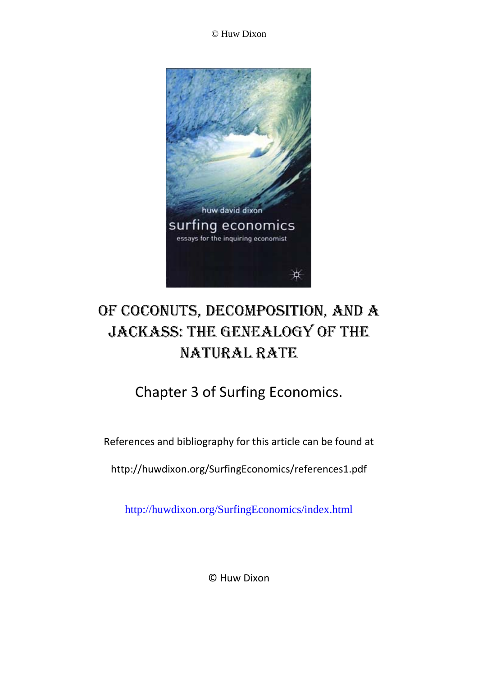

# OF COCONUTS, DECOMPOSITION, AND A JACKASS: THE GENEALOGY OF THE NATURAL RATE

Chapter 3 of Surfing Economics.

References and bibliography for this article can be found at

http://huwdixon.org/SurfingEconomics/references1.pdf

http://huwdixon.org/SurfingEconomics/index.html

© Huw Dixon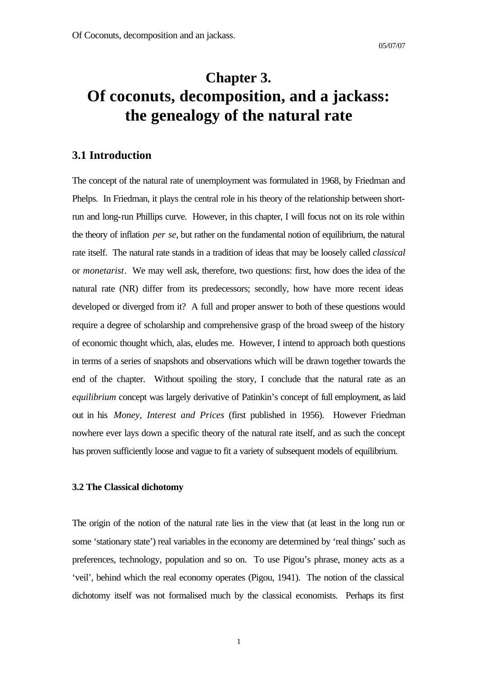## **Chapter 3. Of coconuts, decomposition, and a jackass: the genealogy of the natural rate**

## **3.1 Introduction**

The concept of the natural rate of unemployment was formulated in 1968, by Friedman and Phelps. In Friedman, it plays the central role in his theory of the relationship between shortrun and long-run Phillips curve. However, in this chapter, I will focus not on its role within the theory of inflation *per se*, but rather on the fundamental notion of equilibrium, the natural rate itself. The natural rate stands in a tradition of ideas that may be loosely called *classical* or *monetarist*. We may well ask, therefore, two questions: first, how does the idea of the natural rate (NR) differ from its predecessors; secondly, how have more recent ideas developed or diverged from it? A full and proper answer to both of these questions would require a degree of scholarship and comprehensive grasp of the broad sweep of the history of economic thought which, alas, eludes me. However, I intend to approach both questions in terms of a series of snapshots and observations which will be drawn together towards the end of the chapter. Without spoiling the story, I conclude that the natural rate as an *equilibrium* concept was largely derivative of Patinkin's concept of full employment, as laid out in his *Money, Interest and Prices* (first published in 1956). However Friedman nowhere ever lays down a specific theory of the natural rate itself, and as such the concept has proven sufficiently loose and vague to fit a variety of subsequent models of equilibrium.

#### **3.2 The Classical dichotomy**

The origin of the notion of the natural rate lies in the view that (at least in the long run or some 'stationary state') real variables in the economy are determined by 'real things' such as preferences, technology, population and so on. To use Pigou's phrase, money acts as a 'veil', behind which the real economy operates (Pigou, 1941). The notion of the classical dichotomy itself was not formalised much by the classical economists. Perhaps its first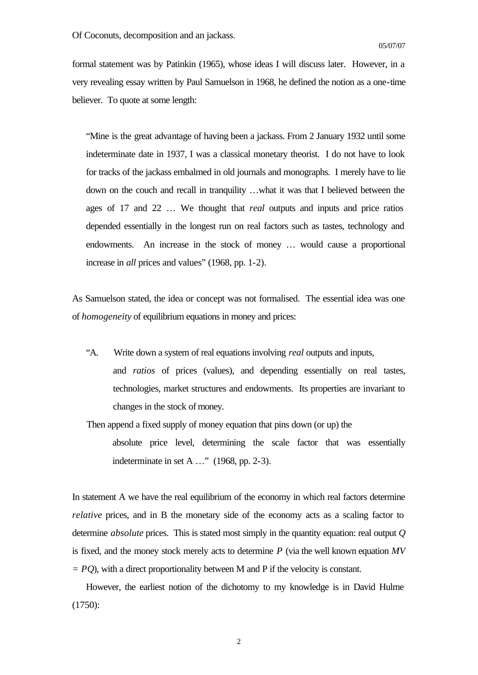formal statement was by Patinkin (1965), whose ideas I will discuss later. However, in a very revealing essay written by Paul Samuelson in 1968, he defined the notion as a one-time believer. To quote at some length:

"Mine is the great advantage of having been a jackass. From 2 January 1932 until some indeterminate date in 1937, I was a classical monetary theorist. I do not have to look for tracks of the jackass embalmed in old journals and monographs. I merely have to lie down on the couch and recall in tranquility …what it was that I believed between the ages of 17 and 22 … We thought that *real* outputs and inputs and price ratios depended essentially in the longest run on real factors such as tastes, technology and endowments. An increase in the stock of money … would cause a proportional increase in *all* prices and values" (1968, pp. 1-2).

As Samuelson stated, the idea or concept was not formalised. The essential idea was one of *homogeneity* of equilibrium equations in money and prices:

- "A. Write down a system of real equations involving *real* outputs and inputs, and *ratios* of prices (values), and depending essentially on real tastes, technologies, market structures and endowments. Its properties are invariant to changes in the stock of money.
- Then append a fixed supply of money equation that pins down (or up) the absolute price level, determining the scale factor that was essentially indeterminate in set A ..." (1968, pp. 2-3).

In statement A we have the real equilibrium of the economy in which real factors determine *relative* prices, and in B the monetary side of the economy acts as a scaling factor to determine *absolute* prices. This is stated most simply in the quantity equation: real output *Q* is fixed, and the money stock merely acts to determine *P* (via the well known equation *MV = PQ*), with a direct proportionality between M and P if the velocity is constant.

However, the earliest notion of the dichotomy to my knowledge is in David Hulme (1750):

2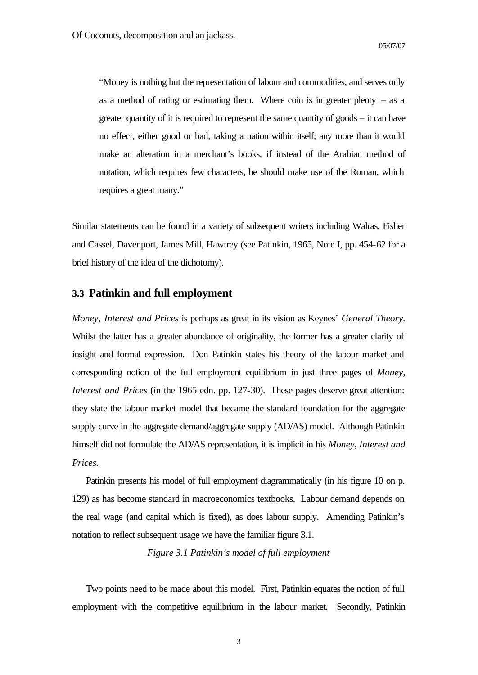"Money is nothing but the representation of labour and commodities, and serves only as a method of rating or estimating them. Where coin is in greater plenty  $-$  as a greater quantity of it is required to represent the same quantity of goods – it can have no effect, either good or bad, taking a nation within itself; any more than it would make an alteration in a merchant's books, if instead of the Arabian method of notation, which requires few characters, he should make use of the Roman, which requires a great many."

Similar statements can be found in a variety of subsequent writers including Walras, Fisher and Cassel, Davenport, James Mill, Hawtrey (see Patinkin, 1965, Note I, pp. 454-62 for a brief history of the idea of the dichotomy).

## **3.3 Patinkin and full employment**

*Money, Interest and Prices* is perhaps as great in its vision as Keynes' *General Theory*. Whilst the latter has a greater abundance of originality, the former has a greater clarity of insight and formal expression. Don Patinkin states his theory of the labour market and corresponding notion of the full employment equilibrium in just three pages of *Money, Interest and Prices* (in the 1965 edn. pp. 127-30). These pages deserve great attention: they state the labour market model that became the standard foundation for the aggregate supply curve in the aggregate demand/aggregate supply (AD/AS) model. Although Patinkin himself did not formulate the AD/AS representation, it is implicit in his *Money, Interest and Prices.*

Patinkin presents his model of full employment diagrammatically (in his figure 10 on p. 129) as has become standard in macroeconomics textbooks. Labour demand depends on the real wage (and capital which is fixed), as does labour supply. Amending Patinkin's notation to reflect subsequent usage we have the familiar figure 3.1.

*Figure 3.1 Patinkin's model of full employment*

Two points need to be made about this model. First, Patinkin equates the notion of full employment with the competitive equilibrium in the labour market. Secondly, Patinkin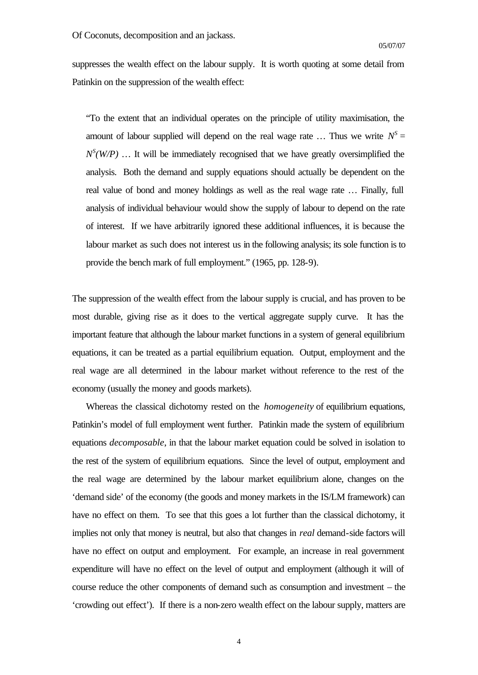suppresses the wealth effect on the labour supply. It is worth quoting at some detail from Patinkin on the suppression of the wealth effect:

"To the extent that an individual operates on the principle of utility maximisation, the amount of labour supplied will depend on the real wage rate ... Thus we write  $N^S =$  $N^{S}(W/P)$  ... It will be immediately recognised that we have greatly oversimplified the analysis. Both the demand and supply equations should actually be dependent on the real value of bond and money holdings as well as the real wage rate … Finally, full analysis of individual behaviour would show the supply of labour to depend on the rate of interest. If we have arbitrarily ignored these additional influences, it is because the labour market as such does not interest us in the following analysis; its sole function is to provide the bench mark of full employment." (1965, pp. 128-9).

The suppression of the wealth effect from the labour supply is crucial, and has proven to be most durable, giving rise as it does to the vertical aggregate supply curve. It has the important feature that although the labour market functions in a system of general equilibrium equations, it can be treated as a partial equilibrium equation. Output, employment and the real wage are all determined in the labour market without reference to the rest of the economy (usually the money and goods markets).

Whereas the classical dichotomy rested on the *homogeneity* of equilibrium equations, Patinkin's model of full employment went further. Patinkin made the system of equilibrium equations *decomposable*, in that the labour market equation could be solved in isolation to the rest of the system of equilibrium equations. Since the level of output, employment and the real wage are determined by the labour market equilibrium alone, changes on the 'demand side' of the economy (the goods and money markets in the IS/LM framework) can have no effect on them. To see that this goes a lot further than the classical dichotomy, it implies not only that money is neutral, but also that changes in *real* demand-side factors will have no effect on output and employment. For example, an increase in real government expenditure will have no effect on the level of output and employment (although it will of course reduce the other components of demand such as consumption and investment – the 'crowding out effect'). If there is a non-zero wealth effect on the labour supply, matters are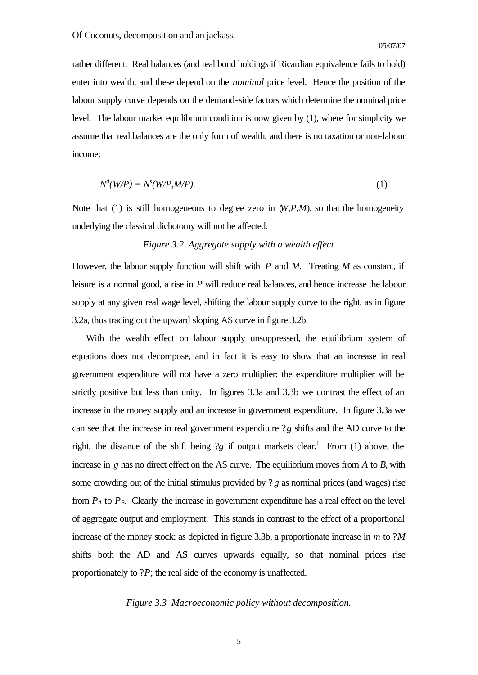rather different. Real balances (and real bond holdings if Ricardian equivalence fails to hold) enter into wealth, and these depend on the *nominal* price level. Hence the position of the labour supply curve depends on the demand-side factors which determine the nominal price level. The labour market equilibrium condition is now given by (1), where for simplicity we assume that real balances are the only form of wealth, and there is no taxation or non-labour income:

$$
N^d(W/P) = N^s(W/P, M/P). \tag{1}
$$

Note that (1) is still homogeneous to degree zero in (*W,P,M*), so that the homogeneity underlying the classical dichotomy will not be affected.

### *Figure 3.2 Aggregate supply with a wealth effect*

However, the labour supply function will shift with *P* and *M.* Treating *M* as constant, if leisure is a normal good, a rise in *P* will reduce real balances, and hence increase the labour supply at any given real wage level, shifting the labour supply curve to the right, as in figure 3.2a, thus tracing out the upward sloping AS curve in figure 3.2b.

With the wealth effect on labour supply unsuppressed, the equilibrium system of equations does not decompose, and in fact it is easy to show that an increase in real government expenditure will not have a zero multiplier: the expenditure multiplier will be strictly positive but less than unity. In figures 3.3a and 3.3b we contrast the effect of an increase in the money supply and an increase in government expenditure. In figure 3.3a we can see that the increase in real government expenditure ?*g* shifts and the AD curve to the right, the distance of the shift being  $?g$  if output markets clear.<sup>1</sup> From (1) above, the increase in *g* has no direct effect on the AS curve. The equilibrium moves from *A* to *B*, with some crowding out of the initial stimulus provided by ? *g* as nominal prices (and wages) rise from  $P_A$  to  $P_B$ . Clearly the increase in government expenditure has a real effect on the level of aggregate output and employment. This stands in contrast to the effect of a proportional increase of the money stock: as depicted in figure 3.3b, a proportionate increase in *m* to ?*M* shifts both the AD and AS curves upwards equally, so that nominal prices rise proportionately to ?*P*; the real side of the economy is unaffected.

#### *Figure 3.3 Macroeconomic policy without decomposition.*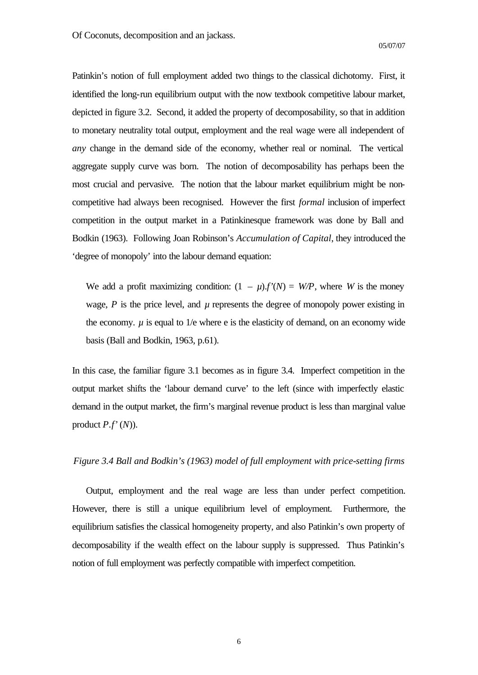Patinkin's notion of full employment added two things to the classical dichotomy. First, it identified the long-run equilibrium output with the now textbook competitive labour market, depicted in figure 3.2. Second, it added the property of decomposability, so that in addition to monetary neutrality total output, employment and the real wage were all independent of *any* change in the demand side of the economy, whether real or nominal. The vertical aggregate supply curve was born. The notion of decomposability has perhaps been the most crucial and pervasive. The notion that the labour market equilibrium might be noncompetitive had always been recognised. However the first *formal* inclusion of imperfect competition in the output market in a Patinkinesque framework was done by Ball and Bodkin (1963). Following Joan Robinson's *Accumulation of Capital*, they introduced the 'degree of monopoly' into the labour demand equation:

We add a profit maximizing condition:  $(1 - \mu) f'(N) = W/P$ , where *W* is the money wage,  $P$  is the price level, and  $\mu$  represents the degree of monopoly power existing in the economy.  $\mu$  is equal to  $1/e$  where e is the elasticity of demand, on an economy wide basis (Ball and Bodkin, 1963, p.61).

In this case, the familiar figure 3.1 becomes as in figure 3.4. Imperfect competition in the output market shifts the 'labour demand curve' to the left (since with imperfectly elastic demand in the output market, the firm's marginal revenue product is less than marginal value product *P.f'* (*N*)).

## *Figure 3.4 Ball and Bodkin's (1963) model of full employment with price-setting firms*

Output, employment and the real wage are less than under perfect competition. However, there is still a unique equilibrium level of employment. Furthermore, the equilibrium satisfies the classical homogeneity property, and also Patinkin's own property of decomposability if the wealth effect on the labour supply is suppressed. Thus Patinkin's notion of full employment was perfectly compatible with imperfect competition.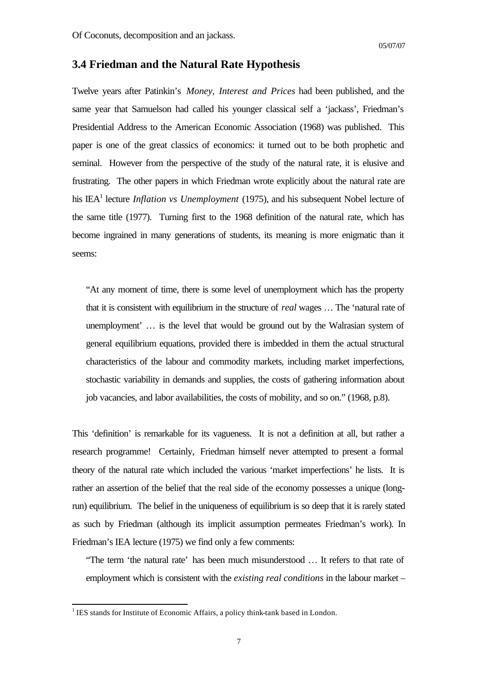## **3.4 Friedman and the Natural Rate Hypothesis**

Twelve years after Patinkin's *Money, Interest and Prices* had been published, and the same year that Samuelson had called his younger classical self a 'jackass', Friedman's Presidential Address to the American Economic Association (1968) was published. This paper is one of the great classics of economics: it turned out to be both prophetic and seminal. However from the perspective of the study of the natural rate, it is elusive and frustrating. The other papers in which Friedman wrote explicitly about the natural rate are his IEA<sup>1</sup> lecture *Inflation vs Unemployment* (1975), and his subsequent Nobel lecture of the same title (1977). Turning first to the 1968 definition of the natural rate, which has become ingrained in many generations of students, its meaning is more enigmatic than it seems:

"At any moment of time, there is some level of unemployment which has the property that it is consistent with equilibrium in the structure of *real* wages … The 'natural rate of unemployment' … is the level that would be ground out by the Walrasian system of general equilibrium equations, provided there is imbedded in them the actual structural characteristics of the labour and commodity markets, including market imperfections, stochastic variability in demands and supplies, the costs of gathering information about job vacancies, and labor availabilities, the costs of mobility, and so on." (1968, p.8).

This 'definition' is remarkable for its vagueness. It is not a definition at all, but rather a research programme! Certainly, Friedman himself never attempted to present a formal theory of the natural rate which included the various 'market imperfections' he lists. It is rather an assertion of the belief that the real side of the economy possesses a unique (longrun) equilibrium. The belief in the uniqueness of equilibrium is so deep that it is rarely stated as such by Friedman (although its implicit assumption permeates Friedman's work). In Friedman's IEA lecture (1975) we find only a few comments:

"The term 'the natural rate' has been much misunderstood … It refers to that rate of employment which is consistent with the *existing real conditions* in the labour market –

 $\overline{a}$ 

<sup>&</sup>lt;sup>1</sup> IES stands for Institute of Economic Affairs, a policy think-tank based in London.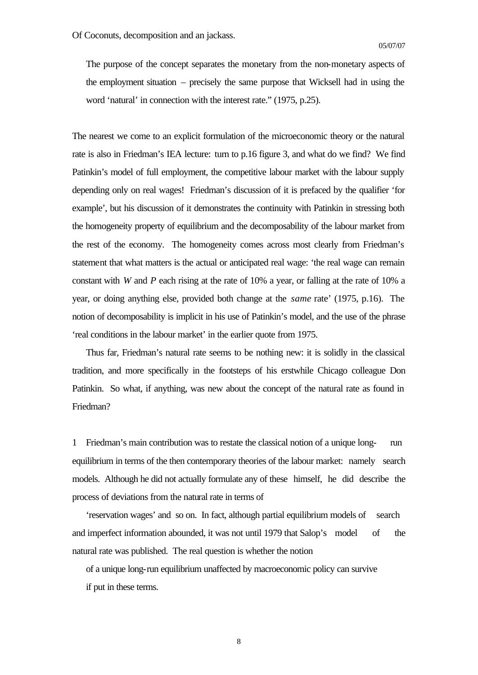The purpose of the concept separates the monetary from the non-monetary aspects of the employment situation – precisely the same purpose that Wicksell had in using the word 'natural' in connection with the interest rate." (1975, p.25).

The nearest we come to an explicit formulation of the microeconomic theory or the natural rate is also in Friedman's IEA lecture: turn to p.16 figure 3, and what do we find? We find Patinkin's model of full employment, the competitive labour market with the labour supply depending only on real wages! Friedman's discussion of it is prefaced by the qualifier 'for example', but his discussion of it demonstrates the continuity with Patinkin in stressing both the homogeneity property of equilibrium and the decomposability of the labour market from the rest of the economy. The homogeneity comes across most clearly from Friedman's statement that what matters is the actual or anticipated real wage: 'the real wage can remain constant with *W* and *P* each rising at the rate of 10% a year, or falling at the rate of 10% a year, or doing anything else, provided both change at the *same* rate' (1975, p.16). The notion of decomposability is implicit in his use of Patinkin's model, and the use of the phrase 'real conditions in the labour market' in the earlier quote from 1975.

Thus far, Friedman's natural rate seems to be nothing new: it is solidly in the classical tradition, and more specifically in the footsteps of his erstwhile Chicago colleague Don Patinkin. So what, if anything, was new about the concept of the natural rate as found in Friedman?

1 Friedman's main contribution was to restate the classical notion of a unique long- run equilibrium in terms of the then contemporary theories of the labour market: namely search models. Although he did not actually formulate any of these himself, he did describe the process of deviations from the natural rate in terms of

'reservation wages' and so on. In fact, although partial equilibrium models of search and imperfect information abounded, it was not until 1979 that Salop's model of the natural rate was published. The real question is whether the notion

of a unique long-run equilibrium unaffected by macroeconomic policy can survive if put in these terms.

8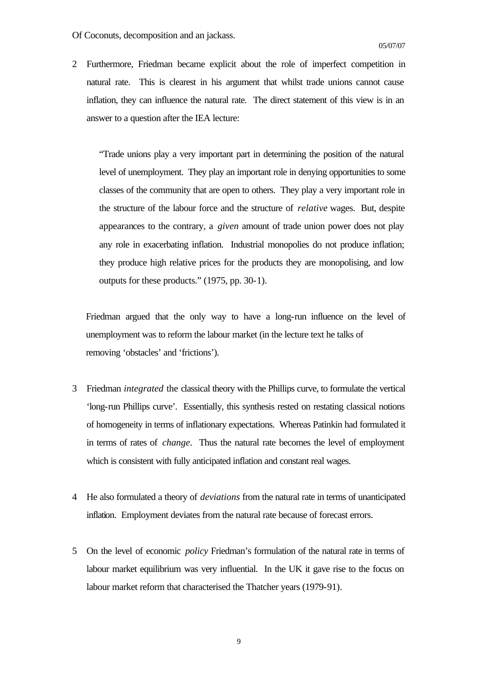Of Coconuts, decomposition and an jackass.

2 Furthermore, Friedman became explicit about the role of imperfect competition in natural rate. This is clearest in his argument that whilst trade unions cannot cause inflation, they can influence the natural rate. The direct statement of this view is in an answer to a question after the IEA lecture:

"Trade unions play a very important part in determining the position of the natural level of unemployment. They play an important role in denying opportunities to some classes of the community that are open to others. They play a very important role in the structure of the labour force and the structure of *relative* wages. But, despite appearances to the contrary, a *given* amount of trade union power does not play any role in exacerbating inflation. Industrial monopolies do not produce inflation; they produce high relative prices for the products they are monopolising, and low outputs for these products." (1975, pp. 30-1).

Friedman argued that the only way to have a long-run influence on the level of unemployment was to reform the labour market (in the lecture text he talks of removing 'obstacles' and 'frictions').

- 3 Friedman *integrated* the classical theory with the Phillips curve, to formulate the vertical 'long-run Phillips curve'. Essentially, this synthesis rested on restating classical notions of homogeneity in terms of inflationary expectations. Whereas Patinkin had formulated it in terms of rates of *change*. Thus the natural rate becomes the level of employment which is consistent with fully anticipated inflation and constant real wages.
- 4 He also formulated a theory of *deviations* from the natural rate in terms of unanticipated inflation. Employment deviates from the natural rate because of forecast errors.
- 5 On the level of economic *policy* Friedman's formulation of the natural rate in terms of labour market equilibrium was very influential. In the UK it gave rise to the focus on labour market reform that characterised the Thatcher years (1979-91).

9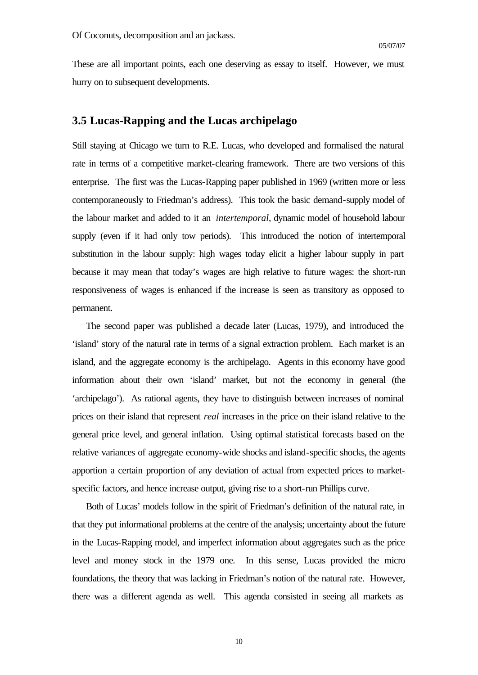These are all important points, each one deserving as essay to itself. However, we must hurry on to subsequent developments.

## **3.5 Lucas-Rapping and the Lucas archipelago**

Still staying at Chicago we turn to R.E. Lucas, who developed and formalised the natural rate in terms of a competitive market-clearing framework. There are two versions of this enterprise. The first was the Lucas-Rapping paper published in 1969 (written more or less contemporaneously to Friedman's address). This took the basic demand-supply model of the labour market and added to it an *intertemporal*, dynamic model of household labour supply (even if it had only tow periods). This introduced the notion of intertemporal substitution in the labour supply: high wages today elicit a higher labour supply in part because it may mean that today's wages are high relative to future wages: the short-run responsiveness of wages is enhanced if the increase is seen as transitory as opposed to permanent.

The second paper was published a decade later (Lucas, 1979), and introduced the 'island' story of the natural rate in terms of a signal extraction problem. Each market is an island, and the aggregate economy is the archipelago. Agents in this economy have good information about their own 'island' market, but not the economy in general (the 'archipelago'). As rational agents, they have to distinguish between increases of nominal prices on their island that represent *real* increases in the price on their island relative to the general price level, and general inflation. Using optimal statistical forecasts based on the relative variances of aggregate economy-wide shocks and island-specific shocks, the agents apportion a certain proportion of any deviation of actual from expected prices to marketspecific factors, and hence increase output, giving rise to a short-run Phillips curve.

Both of Lucas' models follow in the spirit of Friedman's definition of the natural rate, in that they put informational problems at the centre of the analysis; uncertainty about the future in the Lucas-Rapping model, and imperfect information about aggregates such as the price level and money stock in the 1979 one. In this sense, Lucas provided the micro foundations, the theory that was lacking in Friedman's notion of the natural rate. However, there was a different agenda as well. This agenda consisted in seeing all markets as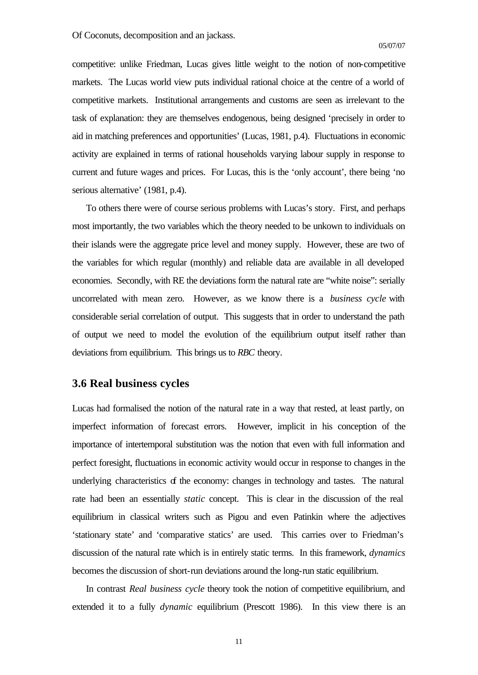competitive: unlike Friedman, Lucas gives little weight to the notion of non-competitive markets. The Lucas world view puts individual rational choice at the centre of a world of competitive markets. Institutional arrangements and customs are seen as irrelevant to the task of explanation: they are themselves endogenous, being designed 'precisely in order to aid in matching preferences and opportunities' (Lucas, 1981, p.4). Fluctuations in economic activity are explained in terms of rational households varying labour supply in response to current and future wages and prices. For Lucas, this is the 'only account', there being 'no serious alternative' (1981, p.4).

To others there were of course serious problems with Lucas's story. First, and perhaps most importantly, the two variables which the theory needed to be unkown to individuals on their islands were the aggregate price level and money supply. However, these are two of the variables for which regular (monthly) and reliable data are available in all developed economies. Secondly, with RE the deviations form the natural rate are "white noise": serially uncorrelated with mean zero. However, as we know there is a *business cycle* with considerable serial correlation of output. This suggests that in order to understand the path of output we need to model the evolution of the equilibrium output itself rather than deviations from equilibrium. This brings us to *RBC* theory.

## **3.6 Real business cycles**

Lucas had formalised the notion of the natural rate in a way that rested, at least partly, on imperfect information of forecast errors. However, implicit in his conception of the importance of intertemporal substitution was the notion that even with full information and perfect foresight, fluctuations in economic activity would occur in response to changes in the underlying characteristics of the economy: changes in technology and tastes. The natural rate had been an essentially *static* concept. This is clear in the discussion of the real equilibrium in classical writers such as Pigou and even Patinkin where the adjectives 'stationary state' and 'comparative statics' are used. This carries over to Friedman's discussion of the natural rate which is in entirely static terms. In this framework, *dynamics* becomes the discussion of short-run deviations around the long-run static equilibrium.

In contrast *Real business cycle* theory took the notion of competitive equilibrium, and extended it to a fully *dynamic* equilibrium (Prescott 1986). In this view there is an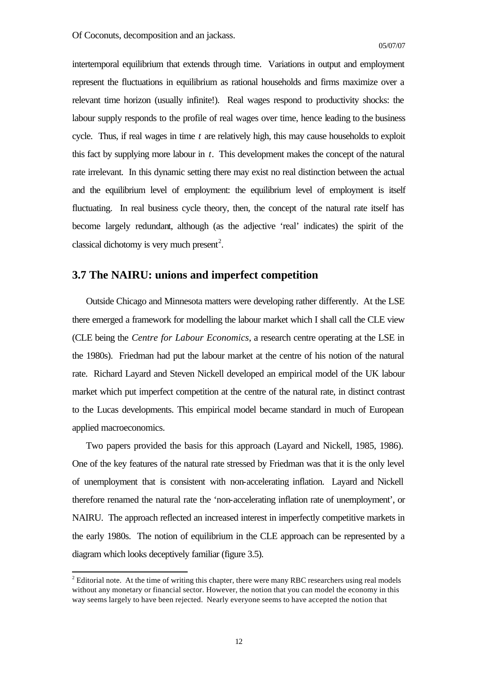intertemporal equilibrium that extends through time. Variations in output and employment represent the fluctuations in equilibrium as rational households and firms maximize over a relevant time horizon (usually infinite!). Real wages respond to productivity shocks: the labour supply responds to the profile of real wages over time, hence leading to the business cycle. Thus, if real wages in time *t* are relatively high, this may cause households to exploit this fact by supplying more labour in *t*. This development makes the concept of the natural rate irrelevant. In this dynamic setting there may exist no real distinction between the actual and the equilibrium level of employment: the equilibrium level of employment is itself fluctuating. In real business cycle theory, then, the concept of the natural rate itself has become largely redundant, although (as the adjective 'real' indicates) the spirit of the classical dichotomy is very much present<sup>2</sup>.

## **3.7 The NAIRU: unions and imperfect competition**

Outside Chicago and Minnesota matters were developing rather differently. At the LSE there emerged a framework for modelling the labour market which I shall call the CLE view (CLE being the *Centre for Labour Economics*, a research centre operating at the LSE in the 1980s). Friedman had put the labour market at the centre of his notion of the natural rate. Richard Layard and Steven Nickell developed an empirical model of the UK labour market which put imperfect competition at the centre of the natural rate, in distinct contrast to the Lucas developments. This empirical model became standard in much of European applied macroeconomics.

Two papers provided the basis for this approach (Layard and Nickell, 1985, 1986). One of the key features of the natural rate stressed by Friedman was that it is the only level of unemployment that is consistent with non-accelerating inflation. Layard and Nickell therefore renamed the natural rate the 'non-accelerating inflation rate of unemployment', or NAIRU. The approach reflected an increased interest in imperfectly competitive markets in the early 1980s. The notion of equilibrium in the CLE approach can be represented by a diagram which looks deceptively familiar (figure 3.5).

l

 $2^2$  Editorial note. At the time of writing this chapter, there were many RBC researchers using real models without any monetary or financial sector. However, the notion that you can model the economy in this way seems largely to have been rejected. Nearly everyone seems to have accepted the notion that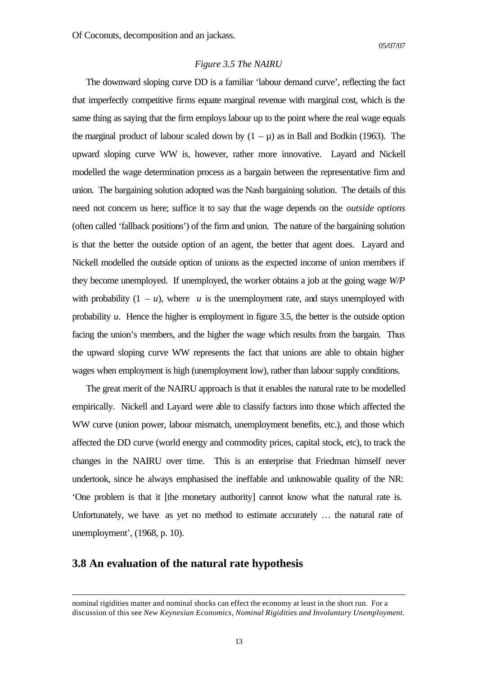#### *Figure 3.5 The NAIRU*

The downward sloping curve DD is a familiar 'labour demand curve', reflecting the fact that imperfectly competitive firms equate marginal revenue with marginal cost, which is the same thing as saying that the firm employs labour up to the point where the real wage equals the marginal product of labour scaled down by  $(1 - \mu)$  as in Ball and Bodkin (1963). The upward sloping curve WW is, however, rather more innovative. Layard and Nickell modelled the wage determination process as a bargain between the representative firm and union. The bargaining solution adopted was the Nash bargaining solution. The details of this need not concern us here; suffice it to say that the wage depends on the *outside options* (often called 'fallback positions') of the firm and union. The nature of the bargaining solution is that the better the outside option of an agent, the better that agent does. Layard and Nickell modelled the outside option of unions as the expected income of union members if they become unemployed. If unemployed, the worker obtains a job at the going wage *W/P* with probability  $(1 - u)$ , where *u* is the unemployment rate, and stays unemployed with probability *u*. Hence the higher is employment in figure 3.5, the better is the outside option facing the union's members, and the higher the wage which results from the bargain. Thus the upward sloping curve WW represents the fact that unions are able to obtain higher wages when employment is high (unemployment low), rather than labour supply conditions.

The great merit of the NAIRU approach is that it enables the natural rate to be modelled empirically. Nickell and Layard were able to classify factors into those which affected the WW curve (union power, labour mismatch, unemployment benefits, etc.), and those which affected the DD curve (world energy and commodity prices, capital stock, etc), to track the changes in the NAIRU over time. This is an enterprise that Friedman himself never undertook, since he always emphasised the ineffable and unknowable quality of the NR: 'One problem is that it [the monetary authority] cannot know what the natural rate is. Unfortunately, we have as yet no method to estimate accurately … the natural rate of unemployment', (1968, p. 10).

## **3.8 An evaluation of the natural rate hypothesis**

l

nominal rigidities matter and nominal shocks can effect the economy at least in the short run. For a discussion of this see *New Keynesian Economics, Nominal Rigidities and Involuntary Unemployment.*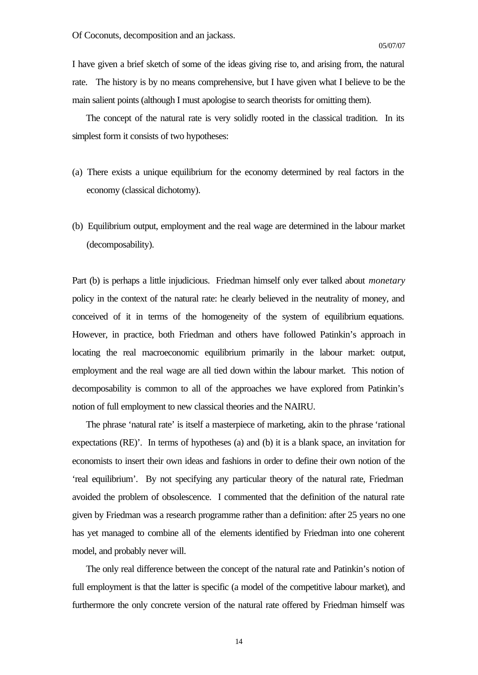I have given a brief sketch of some of the ideas giving rise to, and arising from, the natural rate. The history is by no means comprehensive, but I have given what I believe to be the main salient points (although I must apologise to search theorists for omitting them).

The concept of the natural rate is very solidly rooted in the classical tradition. In its simplest form it consists of two hypotheses:

- (a) There exists a unique equilibrium for the economy determined by real factors in the economy (classical dichotomy).
- (b) Equilibrium output, employment and the real wage are determined in the labour market (decomposability).

Part (b) is perhaps a little injudicious. Friedman himself only ever talked about *monetary* policy in the context of the natural rate: he clearly believed in the neutrality of money, and conceived of it in terms of the homogeneity of the system of equilibrium equations. However, in practice, both Friedman and others have followed Patinkin's approach in locating the real macroeconomic equilibrium primarily in the labour market: output, employment and the real wage are all tied down within the labour market. This notion of decomposability is common to all of the approaches we have explored from Patinkin's notion of full employment to new classical theories and the NAIRU.

The phrase 'natural rate' is itself a masterpiece of marketing, akin to the phrase 'rational expectations (RE)'. In terms of hypotheses (a) and (b) it is a blank space, an invitation for economists to insert their own ideas and fashions in order to define their own notion of the 'real equilibrium'. By not specifying any particular theory of the natural rate, Friedman avoided the problem of obsolescence. I commented that the definition of the natural rate given by Friedman was a research programme rather than a definition: after 25 years no one has yet managed to combine all of the elements identified by Friedman into one coherent model, and probably never will.

The only real difference between the concept of the natural rate and Patinkin's notion of full employment is that the latter is specific (a model of the competitive labour market), and furthermore the only concrete version of the natural rate offered by Friedman himself was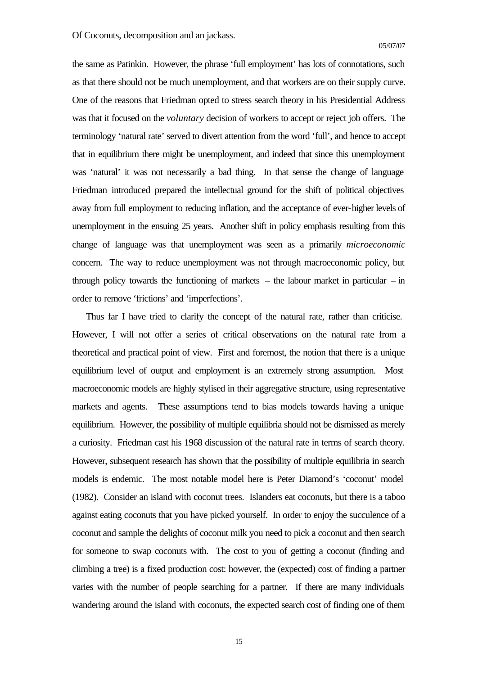#### Of Coconuts, decomposition and an jackass.

the same as Patinkin. However, the phrase 'full employment' has lots of connotations, such as that there should not be much unemployment, and that workers are on their supply curve. One of the reasons that Friedman opted to stress search theory in his Presidential Address was that it focused on the *voluntary* decision of workers to accept or reject job offers. The terminology 'natural rate' served to divert attention from the word 'full', and hence to accept that in equilibrium there might be unemployment, and indeed that since this unemployment was 'natural' it was not necessarily a bad thing. In that sense the change of language Friedman introduced prepared the intellectual ground for the shift of political objectives away from full employment to reducing inflation, and the acceptance of ever-higher levels of unemployment in the ensuing 25 years. Another shift in policy emphasis resulting from this change of language was that unemployment was seen as a primarily *microeconomic* concern. The way to reduce unemployment was not through macroeconomic policy, but through policy towards the functioning of markets – the labour market in particular – in order to remove 'frictions' and 'imperfections'.

Thus far I have tried to clarify the concept of the natural rate, rather than criticise. However, I will not offer a series of critical observations on the natural rate from a theoretical and practical point of view. First and foremost, the notion that there is a unique equilibrium level of output and employment is an extremely strong assumption. Most macroeconomic models are highly stylised in their aggregative structure, using representative markets and agents. These assumptions tend to bias models towards having a unique equilibrium. However, the possibility of multiple equilibria should not be dismissed as merely a curiosity. Friedman cast his 1968 discussion of the natural rate in terms of search theory. However, subsequent research has shown that the possibility of multiple equilibria in search models is endemic. The most notable model here is Peter Diamond's 'coconut' model (1982). Consider an island with coconut trees. Islanders eat coconuts, but there is a taboo against eating coconuts that you have picked yourself. In order to enjoy the succulence of a coconut and sample the delights of coconut milk you need to pick a coconut and then search for someone to swap coconuts with. The cost to you of getting a coconut (finding and climbing a tree) is a fixed production cost: however, the (expected) cost of finding a partner varies with the number of people searching for a partner. If there are many individuals wandering around the island with coconuts, the expected search cost of finding one of them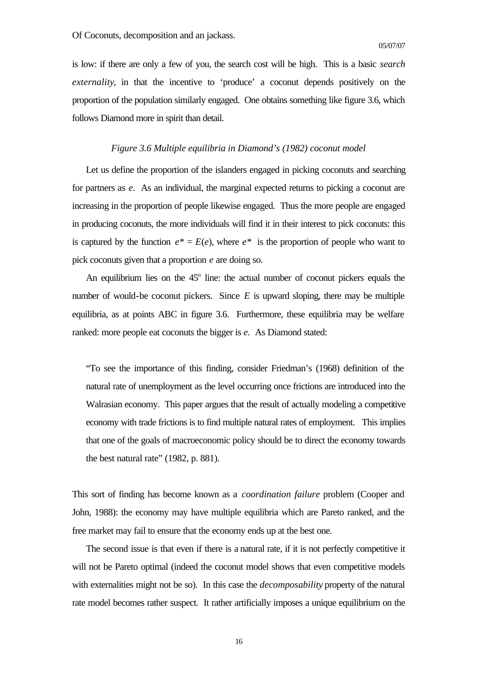is low: if there are only a few of you, the search cost will be high. This is a basic *search externality*, in that the incentive to 'produce' a coconut depends positively on the proportion of the population similarly engaged. One obtains something like figure 3.6, which follows Diamond more in spirit than detail.

#### *Figure 3.6 Multiple equilibria in Diamond's (1982) coconut model*

Let us define the proportion of the islanders engaged in picking coconuts and searching for partners as *e*. As an individual, the marginal expected returns to picking a coconut are increasing in the proportion of people likewise engaged. Thus the more people are engaged in producing coconuts, the more individuals will find it in their interest to pick coconuts: this is captured by the function  $e^* = E(e)$ , where  $e^*$  is the proportion of people who want to pick coconuts given that a proportion *e* are doing so.

An equilibrium lies on the  $45^{\circ}$  line: the actual number of coconut pickers equals the number of would-be coconut pickers. Since  $E$  is upward sloping, there may be multiple equilibria, as at points ABC in figure 3.6. Furthermore, these equilibria may be welfare ranked: more people eat coconuts the bigger is *e.* As Diamond stated:

"To see the importance of this finding, consider Friedman's (1968) definition of the natural rate of unemployment as the level occurring once frictions are introduced into the Walrasian economy. This paper argues that the result of actually modeling a competitive economy with trade frictions is to find multiple natural rates of employment. This implies that one of the goals of macroeconomic policy should be to direct the economy towards the best natural rate" (1982, p. 881).

This sort of finding has become known as a *coordination failure* problem (Cooper and John, 1988): the economy may have multiple equilibria which are Pareto ranked, and the free market may fail to ensure that the economy ends up at the best one.

The second issue is that even if there is a natural rate, if it is not perfectly competitive it will not be Pareto optimal (indeed the coconut model shows that even competitive models with externalities might not be so). In this case the *decomposability* property of the natural rate model becomes rather suspect. It rather artificially imposes a unique equilibrium on the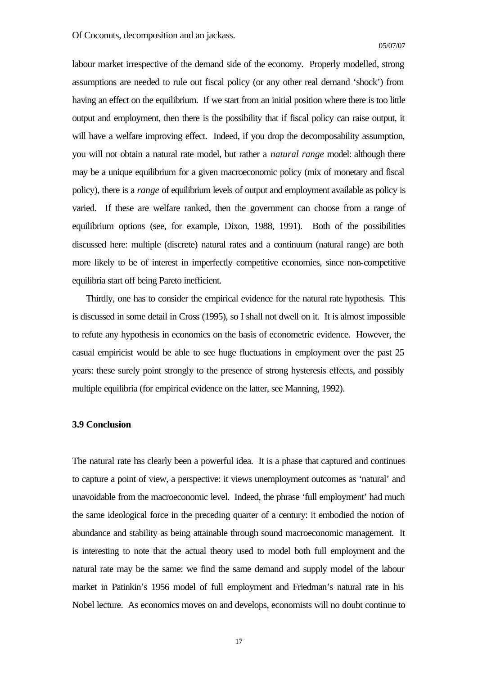labour market irrespective of the demand side of the economy. Properly modelled, strong assumptions are needed to rule out fiscal policy (or any other real demand 'shock') from having an effect on the equilibrium. If we start from an initial position where there is too little output and employment, then there is the possibility that if fiscal policy can raise output, it will have a welfare improving effect. Indeed, if you drop the decomposability assumption, you will not obtain a natural rate model, but rather a *natural range* model: although there may be a unique equilibrium for a given macroeconomic policy (mix of monetary and fiscal policy), there is a *range* of equilibrium levels of output and employment available as policy is varied. If these are welfare ranked, then the government can choose from a range of equilibrium options (see, for example, Dixon, 1988, 1991). Both of the possibilities discussed here: multiple (discrete) natural rates and a continuum (natural range) are both more likely to be of interest in imperfectly competitive economies, since non-competitive equilibria start off being Pareto inefficient.

Thirdly, one has to consider the empirical evidence for the natural rate hypothesis. This is discussed in some detail in Cross (1995), so I shall not dwell on it. It is almost impossible to refute any hypothesis in economics on the basis of econometric evidence. However, the casual empiricist would be able to see huge fluctuations in employment over the past 25 years: these surely point strongly to the presence of strong hysteresis effects, and possibly multiple equilibria (for empirical evidence on the latter, see Manning, 1992).

#### **3.9 Conclusion**

The natural rate has clearly been a powerful idea. It is a phase that captured and continues to capture a point of view, a perspective: it views unemployment outcomes as 'natural' and unavoidable from the macroeconomic level. Indeed, the phrase 'full employment' had much the same ideological force in the preceding quarter of a century: it embodied the notion of abundance and stability as being attainable through sound macroeconomic management. It is interesting to note that the actual theory used to model both full employment and the natural rate may be the same: we find the same demand and supply model of the labour market in Patinkin's 1956 model of full employment and Friedman's natural rate in his Nobel lecture. As economics moves on and develops, economists will no doubt continue to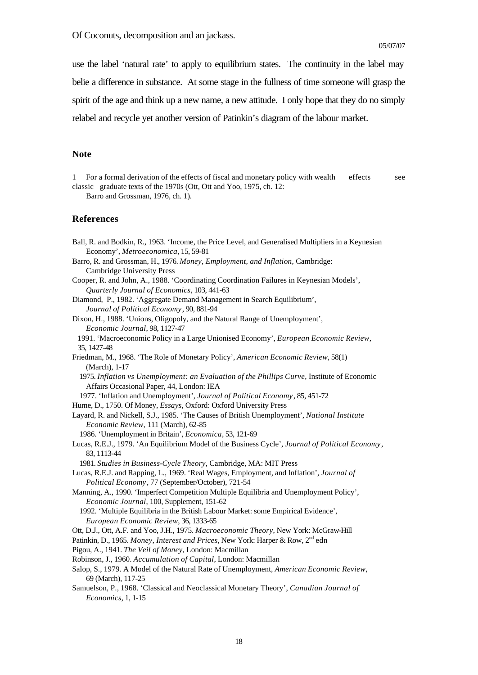use the label 'natural rate' to apply to equilibrium states. The continuity in the label may belie a difference in substance. At some stage in the fullness of time someone will grasp the spirit of the age and think up a new name, a new attitude. I only hope that they do no simply relabel and recycle yet another version of Patinkin's diagram of the labour market.

## **Note**

1 For a formal derivation of the effects of fiscal and monetary policy with wealth effects see classic graduate texts of the 1970s (Ott, Ott and Yoo, 1975, ch. 12:

Barro and Grossman, 1976, ch. 1).

## **References**

| Ball, R. and Bodkin, R., 1963. 'Income, the Price Level, and Generalised Multipliers in a Keynesian |
|-----------------------------------------------------------------------------------------------------|
| Economy', Metroeconomica, 15, 59-81                                                                 |
| Barro, R. and Grossman, H., 1976. Money, Employment, and Inflation, Cambridge:                      |
| <b>Cambridge University Press</b>                                                                   |
| Cooper, R. and John, A., 1988. 'Coordinating Coordination Failures in Keynesian Models',            |
| Quarterly Journal of Economics, 103, 441-63                                                         |
| Diamond, P., 1982. 'Aggregate Demand Management in Search Equilibrium',                             |
| Journal of Political Economy, 90, 881-94                                                            |
| Dixon, H., 1988. 'Unions, Oligopoly, and the Natural Range of Unemployment',                        |
| Economic Journal, 98, 1127-47                                                                       |
| 1991. 'Macroeconomic Policy in a Large Unionised Economy', European Economic Review,                |
| 35, 1427-48                                                                                         |
| Friedman, M., 1968. 'The Role of Monetary Policy', American Economic Review, 58(1)<br>(March), 1-17 |
| 1975. Inflation vs Unemployment: an Evaluation of the Phillips Curve, Institute of Economic         |
| Affairs Occasional Paper, 44, London: IEA                                                           |
| 1977. 'Inflation and Unemployment', Journal of Political Economy, 85, 451-72                        |
| Hume, D., 1750. Of Money, Essays, Oxford: Oxford University Press                                   |
| Layard, R. and Nickell, S.J., 1985. 'The Causes of British Unemployment', National Institute        |
| Economic Review, 111 (March), 62-85                                                                 |
| 1986. 'Unemployment in Britain', Economica, 53, 121-69                                              |
| Lucas, R.E.J., 1979. 'An Equilibrium Model of the Business Cycle', Journal of Political Economy,    |
| 83, 1113-44                                                                                         |
| 1981. Studies in Business-Cycle Theory, Cambridge, MA: MIT Press                                    |
| Lucas, R.E.J. and Rapping, L., 1969. 'Real Wages, Employment, and Inflation', Journal of            |
| Political Economy, 77 (September/October), 721-54                                                   |
| Manning, A., 1990. 'Imperfect Competition Multiple Equilibria and Unemployment Policy',             |
| Economic Journal, 100, Supplement, 151-62                                                           |
| 1992. 'Multiple Equilibria in the British Labour Market: some Empirical Evidence',                  |
| European Economic Review, 36, 1333-65                                                               |
| Ott, D.J., Ott, A.F. and Yoo, J.H., 1975. Macroeconomic Theory, New York: McGraw-Hill               |
| Patinkin, D., 1965. Money, Interest and Prices, New York: Harper & Row, 2 <sup>nd</sup> edn         |
| Pigou, A., 1941. The Veil of Money, London: Macmillan                                               |
| Robinson, J., 1960. Accumulation of Capital, London: Macmillan                                      |
| Salop, S., 1979. A Model of the Natural Rate of Unemployment, American Economic Review,             |
| 69 (March), 117-25                                                                                  |
| Samuelson, P., 1968. 'Classical and Neoclassical Monetary Theory', Canadian Journal of              |
|                                                                                                     |
| Economics, 1, 1-15                                                                                  |
|                                                                                                     |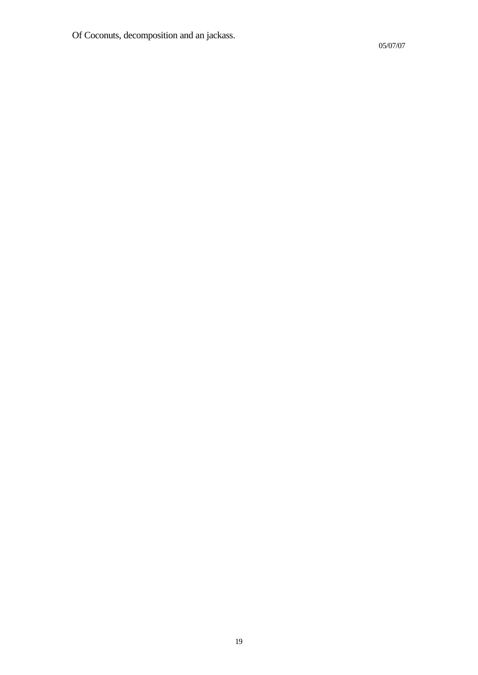Of Coconuts, decomposition and an jackass.

05/07/07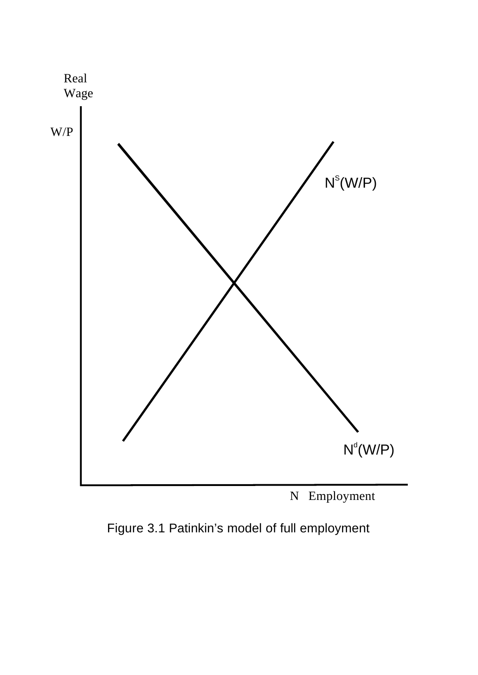

Figure 3.1 Patinkin's model of full employment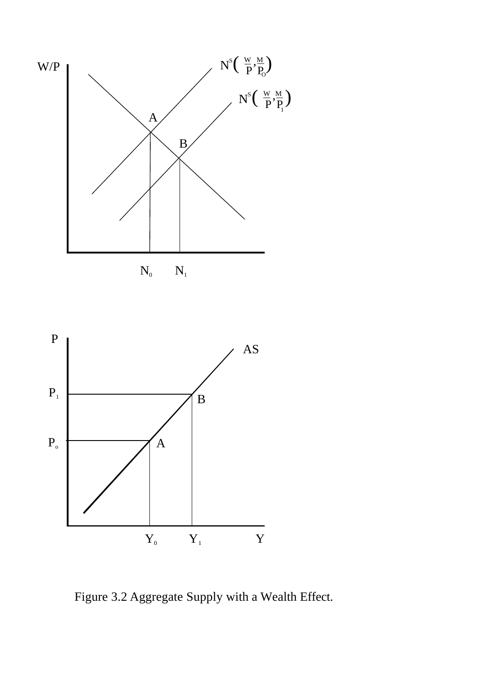



Figure 3.2 Aggregate Supply with a Wealth Effect.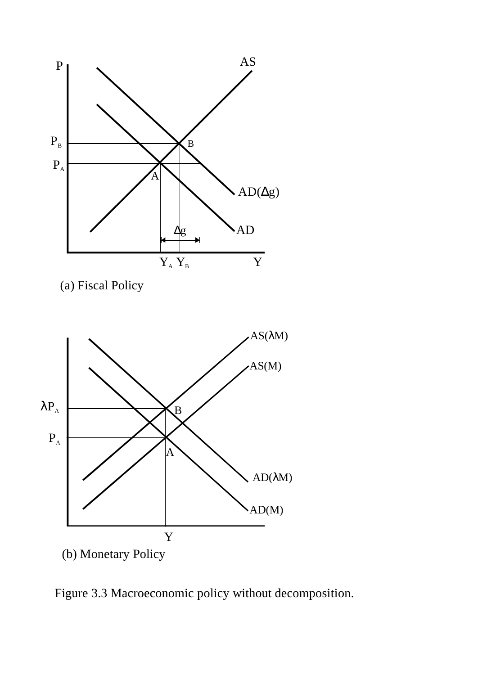

(a) Fiscal Policy



Figure 3.3 Macroeconomic policy without decomposition.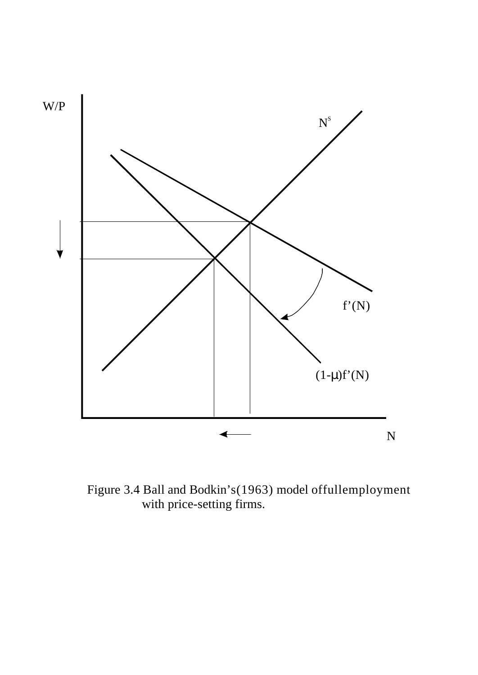

Figure 3.4 Ball and Bodkin's(1963) model offullemployment with price-setting firms.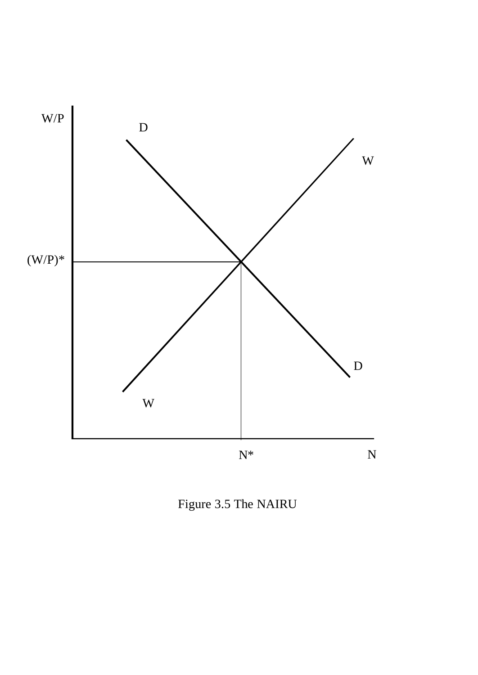

Figure 3.5 The NAIRU